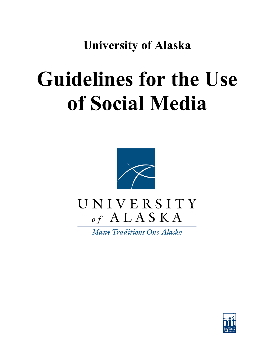**University of Alaska**

# **Guidelines for the Use of Social Media**



# UNIVERSITY of  $A L A S K A$

Many Traditions One Alaska

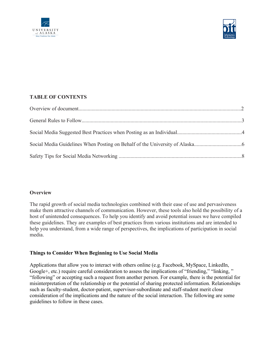



# **TABLE OF CONTENTS**

## **Overview**

The rapid growth of social media technologies combined with their ease of use and pervasiveness make them attractive channels of communication. However, these tools also hold the possibility of a host of unintended consequences. To help you identify and avoid potential issues we have compiled these guidelines. They are examples of best practices from various institutions and are intended to help you understand, from a wide range of perspectives, the implications of participation in social media.

## **Things to Consider When Beginning to Use Social Media**

Applications that allow you to interact with others online (e.g. Facebook, MySpace, LinkedIn, Google+, etc.) require careful consideration to assess the implications of "friending," "linking, " "following" or accepting such a request from another person. For example, there is the potential for misinterpretation of the relationship or the potential of sharing protected information. Relationships such as faculty-student, doctor-patient, supervisor-subordinate and staff-student merit close consideration of the implications and the nature of the social interaction. The following are some guidelines to follow in these cases.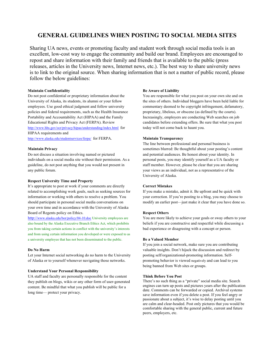# **GENERAL GUIDELINES WHEN POSTING TO SOCIAL MEDIA SITES**

Sharing UA news, events or promoting faculty and student work through social media tools is an excellent, low-cost way to engage the community and build our brand. Employees are encouraged to repost and share information with their family and friends that is available to the public (press releases, articles in the University news, Internet news, etc.). The best way to share university news is to link to the original source. When sharing information that is not a matter of public record, please follow the below guidelines:

#### **Maintain Confidentiality**

Do not post confidential or proprietary information about the University of Alaska, its students, its alumni or your fellow employees. Use good ethical judgment and follow university policies and federal requirements, such as the Health Insurance Portability and Accountability Act (HIPAA) and the Family Educational Rights and Privacy Act (FERPA). Review http://www.hhs.gov/ocr/privacy/hipaa/understanding/index.html for HIPAA requirements and http://www.alaska.edu/studentservices/ferpa/ for FERPA.

#### **Maintain Privacy**

Do not discuss a situation involving named or pictured individuals on a social media site without their permission. As a guideline, do not post anything that you would not present in any public forum.

#### **Respect University Time and Property**

It's appropriate to post at work if your comments are directly related to accomplishing work goals, such as seeking sources for information or working with others to resolve a problem. You should participate in personal social media conversations on your own time and in accordance with the University of Alaska Board of Regents policy on Ethics.

http://www.alaska.edu/bor/policy/04-10.doc University employees are also bound by the Alaska Executive Branch Ethics Act, which prohibits you from taking certain actions in conflict with the university's interests and from using certain information you developed or were exposed to as a university employee that has not been disseminated to the public.

#### **Do No Harm**

Let your Internet social networking do no harm to the University of Alaska or to yourself whenever navigating those networks.

#### **Understand Your Personal Responsibility**

UA staff and faculty are personally responsible for the content they publish on blogs, wikis or any other form of user-generated content. Be mindful that what you publish will be public for a long time— protect your privacy.

#### **Be Aware of Liability**

You are responsible for what you post on your own site and on the sites of others. Individual bloggers have been held liable for commentary deemed to be copyright infringement, defamatory, proprietary, libelous, or obscene (as defined by the courts). Increasingly, employers are conducting Web searches on job candidates before extending offers. Be sure that what you post today will not come back to haunt you.

#### **Maintain Transparency**

The line between professional and personal business is sometimes blurred: Be thoughtful about your posting's content and potential audiences. Be honest about your identity. In personal posts, you may identify yourself as a UA faculty or staff member. However, please be clear that you are sharing your views as an individual, not as a representative of the University of Alaska.

#### **Correct Mistakes**

If you make a mistake, admit it. Be upfront and be quick with your correction. If you're posting to a blog, you may choose to modify an earlier post—just make it clear that you have done so.

#### **Respect Others**

You are more likely to achieve your goals or sway others to your beliefs if you are constructive and respectful while discussing a bad experience or disagreeing with a concept or person.

#### **Be a Valued Member**

If you join a social network, make sure you are contributing valuable insights. Don't hijack the discussion and redirect by posting self/organizational-promoting information. Selfpromoting behavior is viewed negatively and can lead to you being banned from Web sites or groups.

#### **Think Before You Post**

There's no such thing as a "private" social media site. Search engines can turn up posts and pictures years after the publication date. Comments can be forwarded or copied. Archival systems save information even if you delete a post. If you feel angry or passionate about a subject, it's wise to delay posting until you are calm and clear-headed. Post only pictures that you would be comfortable sharing with the general public, current and future peers, employers, etc.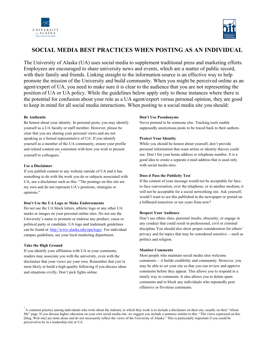



# **SOCIAL MEDIA BEST PRACTICES WHEN POSTING AS AN INDIVIDUAL**

The University of Alaska (UA) uses social media to supplement traditional press and marketing efforts. Employees are encouraged to share university news and events, which are a matter of public record, with their family and friends. Linking straight to the information source is an effective way to help promote the mission of the University and build community. When you might be perceived online as an agent/expert of UA, you need to make sure it is clear to the audience that you are not representing the position of UA or UA policy. While the guidelines below apply only to those instances where there is the potential for confusion about your role as a UA agent/expert versus personal opinion, they are good to keep in mind for all social media interactions. When posting to a social media site you should:

#### **Be Authentic**

Be honest about your identity. In personal posts, you may identify yourself as a UA faculty or staff member. However, please be clear that you are sharing your personal views and are not speaking as a formal representative of UA. If you identify yourself as a member of the UA community, ensure your profile and related content are consistent with how you wish to present yourself to colleagues.

#### **Use a Disclaimer**

If you publish content to any website outside of UA and it has something to do with the work you do or subjects associated with UA, use a disclaimer such as this: "The postings on this site are my own and do not represent UA's positions, strategies or opinions."

#### **Don't Use the UA Logo or Make Endorsements**

Do not use the UA block letters, athletic logo or any other UA marks or images on your personal online sites. Do not use the University's name to promote or endorse any product, cause or political party or candidate. UA logo and trademark guidelines can be found at: http://www.alaska.edu/opa/logo/. For individual campus guidelines, see your local marketing department.

#### **Take the High Ground**

If you identify your affiliation with UA in your comments, readers may associate you with the university, even with the disclaimer that your views are your own. Remember that you're most likely to build a high-quality following if you discuss ideas and situations civilly. Don't pick fights online.

#### **Don't Use Pseudonyms**

Never pretend to be someone else. Tracking tools enable supposedly anonymous posts to be traced back to their authors.

#### **Protect Your Identity**

While you should be honest about yourself, don't provide personal information that scam artists or identity thieves could use. Don't list your home address or telephone number. It is a good idea to create a separate e-mail address that is used only with social media sites.

#### **Does it Pass the Publicity Test**

If the content of your message would not be acceptable for faceto-face conversation, over the telephone, or in another medium, it will not be acceptable for a social networking site. Ask yourself, would I want to see this published in the newspaper or posted on a billboard tomorrow or ten years from now?

#### **Respect Your Audience**

Don't use ethnic slurs, personal insults, obscenity, or engage in any conduct that could result in professional, civil or criminal discipline. You should also show proper consideration for others' privacy and for topics that may be considered sensitive —such as politics and religion.

#### **Monitor Comments**

Most people who maintain social media sites welcome comments— it builds credibility and community. However, you may be able to set your site so that you can review and approve comments before they appear. This allows you to respond in a timely way to comments. It also allows you to delete spam comments and to block any individuals who repeatedly post offensive or frivolous comments.

 $A$  common practice among individuals who write about the industry in which they work is to include a disclaimer on their site, usually on their "About" Me" page. If you discuss higher education on your own social media site, we suggest you include a sentence similar to this: "The views expressed on this [blog, Web site] are mine alone and do not necessarily reflect the views of the University of Alaska." This is particularly important if you could be perceived to be in a leadership role at UA.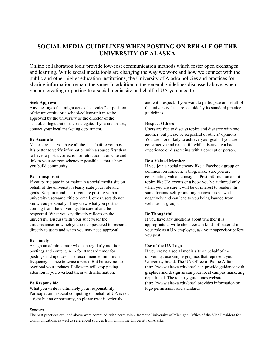# **SOCIAL MEDIA GUIDELINES WHEN POSTING ON BEHALF OF THE UNIVERSITY OF ALASKA**

Online collaboration tools provide low-cost communication methods which foster open exchanges and learning. While social media tools are changing the way we work and how we connect with the public and other higher education institutions, the University of Alaska policies and practices for sharing information remain the same. In addition to the general guidelines discussed above, when you are creating or posting to a social media site on behalf of UA you need to:

#### **Seek Approval**

Any messages that might act as the "voice" or position of the university or a school/college/unit must be approved by the university or the director of the school/college/unit or their delegate. If you are unsure, contact your local marketing department.

#### **Be Accurate**

Make sure that you have all the facts before you post. It's better to verify information with a source first than to have to post a correction or retraction later. Cite and link to your sources whenever possible -- that's how you build community.

#### **Be Transparent**

If you participate in or maintain a social media site on behalf of the university, clearly state your role and goals. Keep in mind that if you are posting with a university username, title or email, other users do not know you personally. They view what you post as coming from the university. Be careful and be respectful. What you say directly reflects on the university. Discuss with your supervisor the circumstances in which you are empowered to respond directly to users and when you may need approval.

#### **Be Timely**

Assign an administrator who can regularly monitor postings and content. Aim for standard times for postings and updates. The recommended minimum frequency is once to twice a week. But be sure not to overload your updates. Followers will stop paying attention if you overload them with information.

#### **Be Responsible**

What you write is ultimately your responsibility. Participation in social computing on behalf of UA is not a right but an opportunity, so please treat it seriously

and with respect. If you want to participate on behalf of the university, be sure to abide by its standard practice guidelines.

#### **Respect Others**

Users are free to discuss topics and disagree with one another, but please be respectful of others' opinions. You are more likely to achieve your goals if you are constructive and respectful while discussing a bad experience or disagreeing with a concept or person.

#### **Be a Valued Member**

If you join a social network like a Facebook group or comment on someone's blog, make sure you are contributing valuable insights. Post information about topics like UA events or a book you've authored only when you are sure it will be of interest to readers. In some forums, self-promoting behavior is viewed negatively and can lead to you being banned from websites or groups.

#### **Be Thoughtful**

If you have any questions about whether it is appropriate to write about certain kinds of material in your role as a UA employee, ask your supervisor before you post.

#### **Use of the UA Logo**

If you create a social media site on behalf of the university, use simple graphics that represent your University brand. The UA Office of Public Affairs (http://www.alaska.edu/opa/) can provide guidance with graphics and design as can your local campus marketing department. The identity guidelines website (http://www.alaska.edu/opa/) provides information on logo permissions and standards.

#### *Sources:*

The best practices outlined above were compiled, with permission, from the University of Michigan, Office of the Vice President for Communications as well as referenced sources from within the University of Alaska.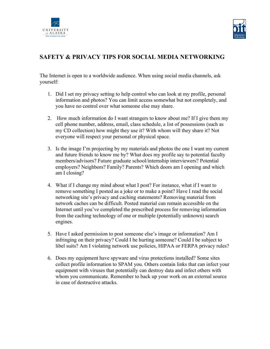



# **SAFETY & PRIVACY TIPS FOR SOCIAL MEDIA NETWORKING**

The Internet is open to a worldwide audience. When using social media channels, ask yourself:

- 1. Did I set my privacy setting to help control who can look at my profile, personal information and photos? You can limit access somewhat but not completely, and you have no control over what someone else may share.
- 2. How much information do I want strangers to know about me? If I give them my cell phone number, address, email, class schedule, a list of possessions (such as my CD collection) how might they use it? With whom will they share it? Not everyone will respect your personal or physical space.
- 3. Is the image I'm projecting by my materials and photos the one I want my current and future friends to know me by? What does my profile say to potential faculty members/advisors? Future graduate school/internship interviewers? Potential employers? Neighbors? Family? Parents? Which doors am I opening and which am I closing?
- 4. What if I change my mind about what I post? For instance, what if I want to remove something I posted as a joke or to make a point? Have I read the social networking site's privacy and caching statements? Removing material from network caches can be difficult. Posted material can remain accessible on the Internet until you've completed the prescribed process for removing information from the caching technology of one or multiple (potentially unknown) search engines.
- 5. Have I asked permission to post someone else's image or information? Am I infringing on their privacy? Could I be hurting someone? Could I be subject to libel suits? Am I violating network use policies, HIPAA or FERPA privacy rules?
- 6. Does my equipment have spyware and virus protections installed? Some sites collect profile information to SPAM you. Others contain links that can infect your equipment with viruses that potentially can destroy data and infect others with whom you communicate. Remember to back up your work on an external source in case of destructive attacks.